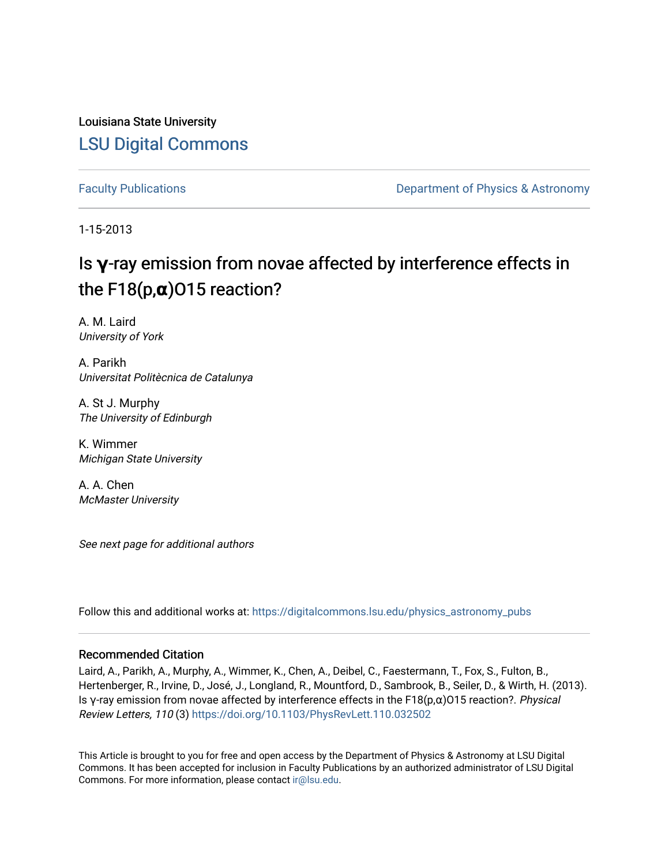Louisiana State University [LSU Digital Commons](https://digitalcommons.lsu.edu/)

[Faculty Publications](https://digitalcommons.lsu.edu/physics_astronomy_pubs) **Exercise 2 and Table 2 and Table 2 and Table 2 and Table 2 and Table 2 and Table 2 and Table 2 and Table 2 and Table 2 and Table 2 and Table 2 and Table 2 and Table 2 and Table 2 and Table 2 and Table** 

1-15-2013

# Is γ-ray emission from novae affected by interference effects in the F18(p,**α**)O15 reaction?

A. M. Laird University of York

A. Parikh Universitat Politècnica de Catalunya

A. St J. Murphy The University of Edinburgh

K. Wimmer Michigan State University

A. A. Chen McMaster University

See next page for additional authors

Follow this and additional works at: [https://digitalcommons.lsu.edu/physics\\_astronomy\\_pubs](https://digitalcommons.lsu.edu/physics_astronomy_pubs?utm_source=digitalcommons.lsu.edu%2Fphysics_astronomy_pubs%2F1270&utm_medium=PDF&utm_campaign=PDFCoverPages) 

#### Recommended Citation

Laird, A., Parikh, A., Murphy, A., Wimmer, K., Chen, A., Deibel, C., Faestermann, T., Fox, S., Fulton, B., Hertenberger, R., Irvine, D., José, J., Longland, R., Mountford, D., Sambrook, B., Seiler, D., & Wirth, H. (2013). Is γ-ray emission from novae affected by interference effects in the F18(p,α)O15 reaction?. Physical Review Letters, 110 (3) <https://doi.org/10.1103/PhysRevLett.110.032502>

This Article is brought to you for free and open access by the Department of Physics & Astronomy at LSU Digital Commons. It has been accepted for inclusion in Faculty Publications by an authorized administrator of LSU Digital Commons. For more information, please contact [ir@lsu.edu](mailto:ir@lsu.edu).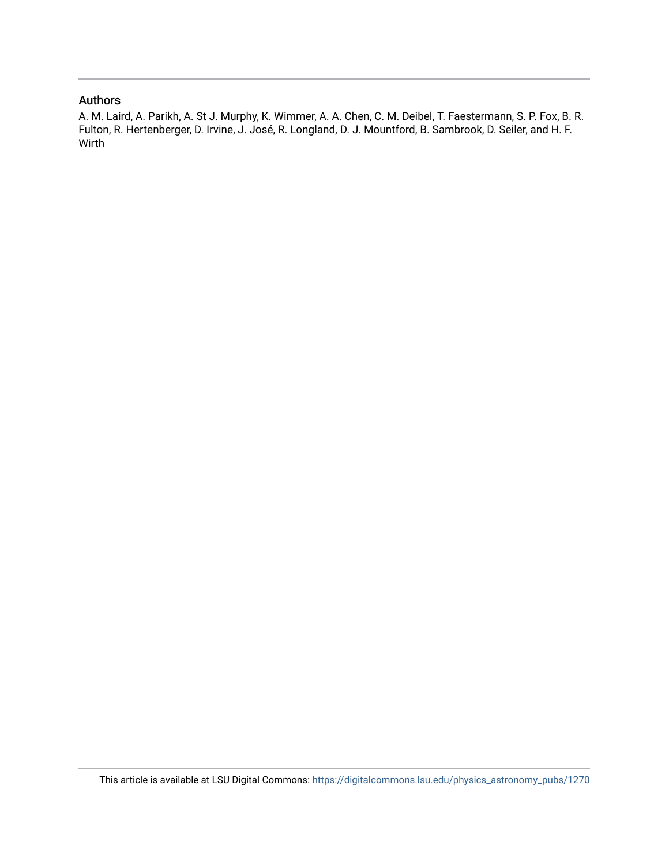#### Authors

A. M. Laird, A. Parikh, A. St J. Murphy, K. Wimmer, A. A. Chen, C. M. Deibel, T. Faestermann, S. P. Fox, B. R. Fulton, R. Hertenberger, D. Irvine, J. José, R. Longland, D. J. Mountford, B. Sambrook, D. Seiler, and H. F. Wirth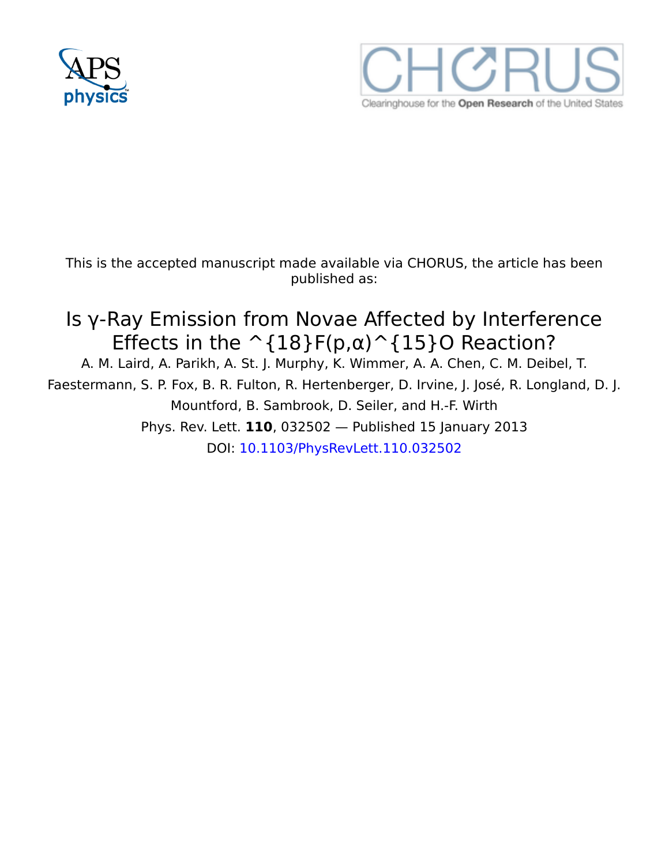



This is the accepted manuscript made available via CHORUS, the article has been published as:

## Is γ-Ray Emission from Novae Affected by Interference Effects in the  $\hat{\;}$ {18}F(p, $\alpha$ ) $\hat{\;}$ {15}O Reaction? A. M. Laird, A. Parikh, A. St. J. Murphy, K. Wimmer, A. A. Chen, C. M. Deibel, T.

Faestermann, S. P. Fox, B. R. Fulton, R. Hertenberger, D. Irvine, J. José, R. Longland, D. J. Mountford, B. Sambrook, D. Seiler, and H.-F. Wirth Phys. Rev. Lett. **110**, 032502 — Published 15 January 2013 DOI: [10.1103/PhysRevLett.110.032502](http://dx.doi.org/10.1103/PhysRevLett.110.032502)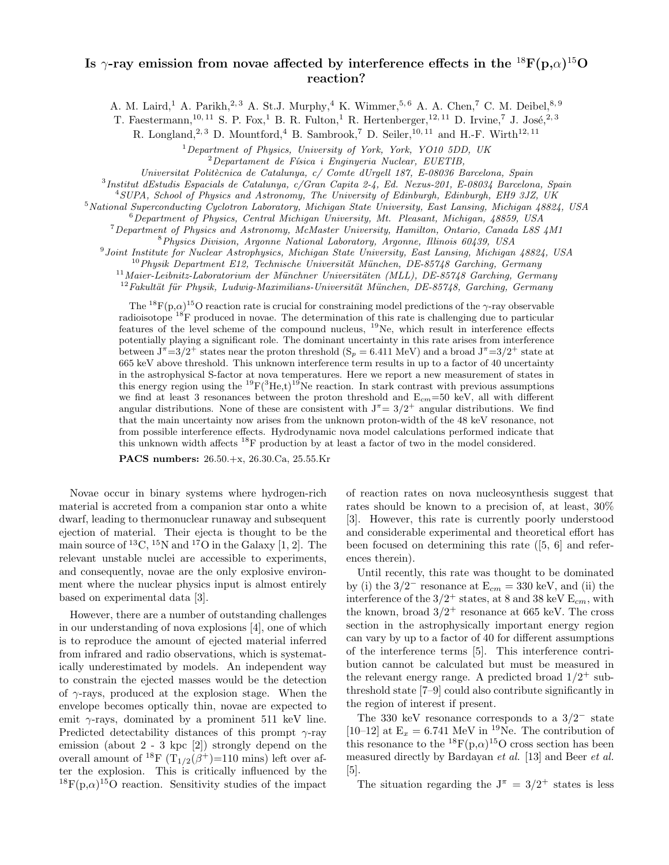### Is  $\gamma$ -ray emission from novae affected by interference effects in the  $^{18}{\rm F}({\rm p},\alpha){}^{15}{\rm O}$ reaction?

A. M. Laird,<sup>1</sup> A. Parikh,<sup>2, 3</sup> A. St.J. Murphy,<sup>4</sup> K. Wimmer,<sup>5, 6</sup> A. A. Chen,<sup>7</sup> C. M. Deibel,<sup>8, 9</sup>

T. Faestermann,<sup>10, 11</sup> S. P. Fox,<sup>1</sup> B. R. Fulton,<sup>1</sup> R. Hertenberger,<sup>12, 11</sup> D. Irvine,<sup>7</sup> J. José,<sup>2, 3</sup>

R. Longland,<sup>2, 3</sup> D. Mountford,<sup>4</sup> B. Sambrook,<sup>7</sup> D. Seiler,<sup>10, 11</sup> and H.-F. Wirth<sup>12, 11</sup>

 $1$ Department of Physics, University of York, York, YO10 5DD, UK

 ${}^{2}$ Departament de Física i Enginyeria Nuclear, EUETIB,

Universitat Polit`ecnica de Catalunya, c/ Comte dUrgell 187, E-08036 Barcelona, Spain

3 Institut dEstudis Espacials de Catalunya, c/Gran Capita 2-4, Ed. Nexus-201, E-08034 Barcelona, Spain

<sup>4</sup>SUPA, School of Physics and Astronomy, The University of Edinburgh, Edinburgh, EH9 3JZ, UK

<sup>5</sup>National Superconducting Cyclotron Laboratory, Michigan State University, East Lansing, Michigan 48824, USA

 $6$ Department of Physics, Central Michigan University, Mt. Pleasant, Michigan, 48859, USA

<sup>7</sup>Department of Physics and Astronomy, McMaster University, Hamilton, Ontario, Canada L8S 4M1

<sup>8</sup>Physics Division, Argonne National Laboratory, Argonne, Illinois 60439, USA

9 Joint Institute for Nuclear Astrophysics, Michigan State University, East Lansing, Michigan 48824, USA

 $10$ Physik Department E12, Technische Universität München, DE-85748 Garching, Germany

 $11$ Maier-Leibnitz-Laboratorium der Münchner Universitäten (MLL), DE-85748 Garching, Germany

 $12$ Fakultät für Physik, Ludwig-Maximilians-Universität München, DE-85748, Garching, Germany

The  ${}^{18}F(p,\alpha){}^{15}O$  reaction rate is crucial for constraining model predictions of the  $\gamma$ -ray observable radioisotope <sup>18</sup>F produced in novae. The determination of this rate is challenging due to particular features of the level scheme of the compound nucleus, <sup>19</sup>Ne, which result in interference effects potentially playing a significant role. The dominant uncertainty in this rate arises from interference between  $J^{\pi}$ =3/2<sup>+</sup> states near the proton threshold (S<sub>p</sub> = 6.411 MeV) and a broad  $J^{\pi}$ =3/2<sup>+</sup> state at 665 keV above threshold. This unknown interference term results in up to a factor of 40 uncertainty in the astrophysical S-factor at nova temperatures. Here we report a new measurement of states in this energy region using the  ${}^{19}F({}^{3}He,t){}^{19}Ne$  reaction. In stark contrast with previous assumptions we find at least 3 resonances between the proton threshold and  $E_{cm}$ =50 keV, all with different angular distributions. None of these are consistent with  $J^{\pi} = 3/2^+$  angular distributions. We find that the main uncertainty now arises from the unknown proton-width of the 48 keV resonance, not from possible interference effects. Hydrodynamic nova model calculations performed indicate that this unknown width affects  ${}^{18}$ F production by at least a factor of two in the model considered.

PACS numbers: 26.50.+x, 26.30.Ca, 25.55.Kr

Novae occur in binary systems where hydrogen-rich material is accreted from a companion star onto a white dwarf, leading to thermonuclear runaway and subsequent ejection of material. Their ejecta is thought to be the main source of  ${}^{13}C, {}^{15}N$  and  ${}^{17}O$  in the Galaxy [1, 2]. The relevant unstable nuclei are accessible to experiments, and consequently, novae are the only explosive environment where the nuclear physics input is almost entirely based on experimental data [3].

However, there are a number of outstanding challenges in our understanding of nova explosions [4], one of which is to reproduce the amount of ejected material inferred from infrared and radio observations, which is systematically underestimated by models. An independent way to constrain the ejected masses would be the detection of  $\gamma$ -rays, produced at the explosion stage. When the envelope becomes optically thin, novae are expected to emit  $\gamma$ -rays, dominated by a prominent 511 keV line. Predicted detectability distances of this prompt  $\gamma$ -ray emission (about 2 - 3 kpc [2]) strongly depend on the overall amount of <sup>18</sup>F  $(T_{1/2}(\beta^+)=110 \text{ mins})$  left over after the explosion. This is critically influenced by the  $^{18}F(p,\alpha)^{15}O$  reaction. Sensitivity studies of the impact

of reaction rates on nova nucleosynthesis suggest that rates should be known to a precision of, at least, 30% [3]. However, this rate is currently poorly understood and considerable experimental and theoretical effort has been focused on determining this rate ([5, 6] and references therein).

Until recently, this rate was thought to be dominated by (i) the  $3/2^-$  resonance at  $E_{cm} = 330$  keV, and (ii) the interference of the  $3/2^+$  states, at 8 and 38 keV  $E_{cm}$ , with the known, broad  $3/2^+$  resonance at 665 keV. The cross section in the astrophysically important energy region can vary by up to a factor of 40 for different assumptions of the interference terms [5]. This interference contribution cannot be calculated but must be measured in the relevant energy range. A predicted broad  $1/2^+$  subthreshold state [7–9] could also contribute significantly in the region of interest if present.

The 330 keV resonance corresponds to a  $3/2^-$  state [10–12] at  $E_x = 6.741$  MeV in <sup>19</sup>Ne. The contribution of this resonance to the  ${}^{18}F(p,\alpha){}^{15}O$  cross section has been measured directly by Bardayan et al. [13] and Beer et al. [5].

The situation regarding the  $J^{\pi} = 3/2^{+}$  states is less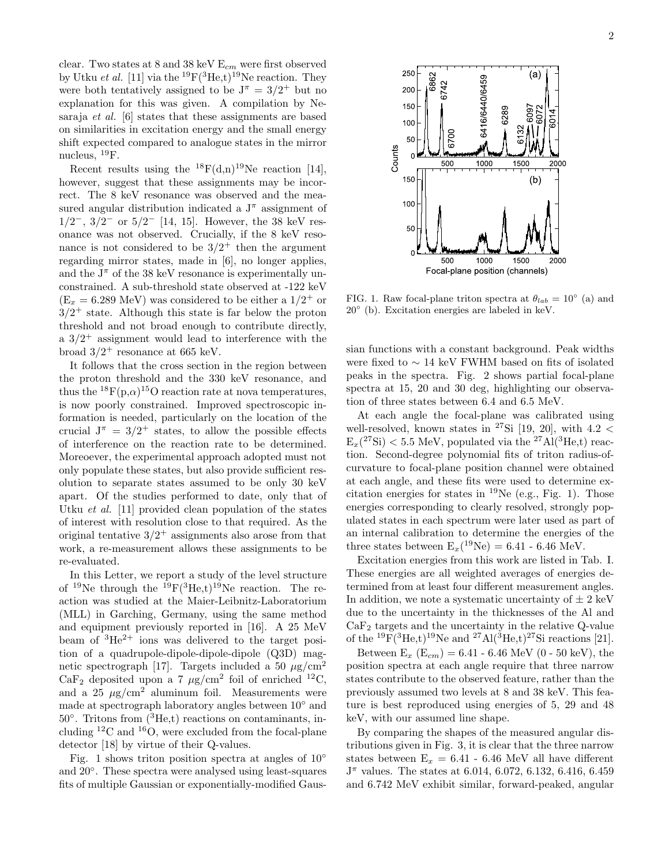clear. Two states at  $8$  and  $38 \text{ keV}$   $E_{cm}$  were first observed by Utku et al. [11] via the  $^{19}F(^{3}He,t)^{19}Ne$  reaction. They were both tentatively assigned to be  $J^{\pi} = 3/2^{+}$  but no explanation for this was given. A compilation by Nesaraja et al. [6] states that these assignments are based on similarities in excitation energy and the small energy shift expected compared to analogue states in the mirror nucleus, <sup>19</sup>F.

Recent results using the  $^{18}F(d,n)^{19}$ Ne reaction [14], however, suggest that these assignments may be incorrect. The 8 keV resonance was observed and the measured angular distribution indicated a  $J^{\pi}$  assignment of  $1/2^-$ ,  $3/2^-$  or  $5/2^-$  [14, 15]. However, the 38 keV resonance was not observed. Crucially, if the 8 keV resonance is not considered to be  $3/2^+$  then the argument regarding mirror states, made in [6], no longer applies, and the  $J^{\pi}$  of the 38 keV resonance is experimentally unconstrained. A sub-threshold state observed at -122 keV  $(E_x = 6.289 \text{ MeV})$  was considered to be either a  $1/2^+$  or  $3/2$ <sup>+</sup> state. Although this state is far below the proton threshold and not broad enough to contribute directly, a  $3/2$ <sup>+</sup> assignment would lead to interference with the broad  $3/2^+$  resonance at 665 keV.

It follows that the cross section in the region between the proton threshold and the 330 keV resonance, and thus the  $^{18}F(p,\alpha)^{15}O$  reaction rate at nova temperatures, is now poorly constrained. Improved spectroscopic information is needed, particularly on the location of the crucial  $J^{\pi} = 3/2^{+}$  states, to allow the possible effects of interference on the reaction rate to be determined. Moreoever, the experimental approach adopted must not only populate these states, but also provide sufficient resolution to separate states assumed to be only 30 keV apart. Of the studies performed to date, only that of Utku et al. [11] provided clean population of the states of interest with resolution close to that required. As the original tentative  $3/2^+$  assignments also arose from that work, a re-measurement allows these assignments to be re-evaluated.

In this Letter, we report a study of the level structure of <sup>19</sup>Ne through the <sup>19</sup>F(<sup>3</sup>He,t)<sup>19</sup>Ne reaction. The reaction was studied at the Maier-Leibnitz-Laboratorium (MLL) in Garching, Germany, using the same method and equipment previously reported in [16]. A 25 MeV beam of  ${}^{3}\text{He}^{2+}$  ions was delivered to the target position of a quadrupole-dipole-dipole-dipole (Q3D) magnetic spectrograph [17]. Targets included a 50  $\mu$ g/cm<sup>2</sup> CaF<sub>2</sub> deposited upon a 7  $\mu$ g/cm<sup>2</sup> foil of enriched <sup>12</sup>C, and a 25  $\mu$ g/cm<sup>2</sup> aluminum foil. Measurements were made at spectrograph laboratory angles between 10◦ and 50<sup>°</sup>. Tritons from (<sup>3</sup>He,t) reactions on contaminants, including  ${}^{12}$ C and  ${}^{16}$ O, were excluded from the focal-plane detector [18] by virtue of their Q-values.

Fig. 1 shows triton position spectra at angles of  $10°$ and 20◦ . These spectra were analysed using least-squares fits of multiple Gaussian or exponentially-modified Gaus-



FIG. 1. Raw focal-plane triton spectra at  $\theta_{lab} = 10^{\circ}$  (a) and 20◦ (b). Excitation energies are labeled in keV.

sian functions with a constant background. Peak widths were fixed to  $\sim 14 \text{ keV}$  FWHM based on fits of isolated peaks in the spectra. Fig. 2 shows partial focal-plane spectra at 15, 20 and 30 deg, highlighting our observation of three states between 6.4 and 6.5 MeV.

At each angle the focal-plane was calibrated using well-resolved, known states in  $^{27}\text{Si}$  [19, 20], with 4.2 <  $E_x(^{27}\text{Si}) < 5.5$  MeV, populated via the  $^{27}\text{Al}(^{3}\text{He}, t)$  reaction. Second-degree polynomial fits of triton radius-ofcurvature to focal-plane position channel were obtained at each angle, and these fits were used to determine excitation energies for states in  $^{19}$ Ne (e.g., Fig. 1). Those energies corresponding to clearly resolved, strongly populated states in each spectrum were later used as part of an internal calibration to determine the energies of the three states between  $E_x(^{19}Ne) = 6.41 - 6.46$  MeV.

Excitation energies from this work are listed in Tab. I. These energies are all weighted averages of energies determined from at least four different measurement angles. In addition, we note a systematic uncertainty of  $\pm 2 \text{ keV}$ due to the uncertainty in the thicknesses of the Al and  $CaF<sub>2</sub>$  targets and the uncertainty in the relative Q-value of the  $^{19}F(^{3}He,t)^{19}Ne$  and  $^{27}Al(^{3}He,t)^{27}Si$  reactions [21].

Between  $E_x$  ( $E_{cm}$ ) = 6.41 - 6.46 MeV (0 - 50 keV), the position spectra at each angle require that three narrow states contribute to the observed feature, rather than the previously assumed two levels at 8 and 38 keV. This feature is best reproduced using energies of 5, 29 and 48 keV, with our assumed line shape.

By comparing the shapes of the measured angular distributions given in Fig. 3, it is clear that the three narrow states between  $E_x = 6.41 - 6.46$  MeV all have different J <sup>π</sup> values. The states at 6.014, 6.072, 6.132, 6.416, 6.459 and 6.742 MeV exhibit similar, forward-peaked, angular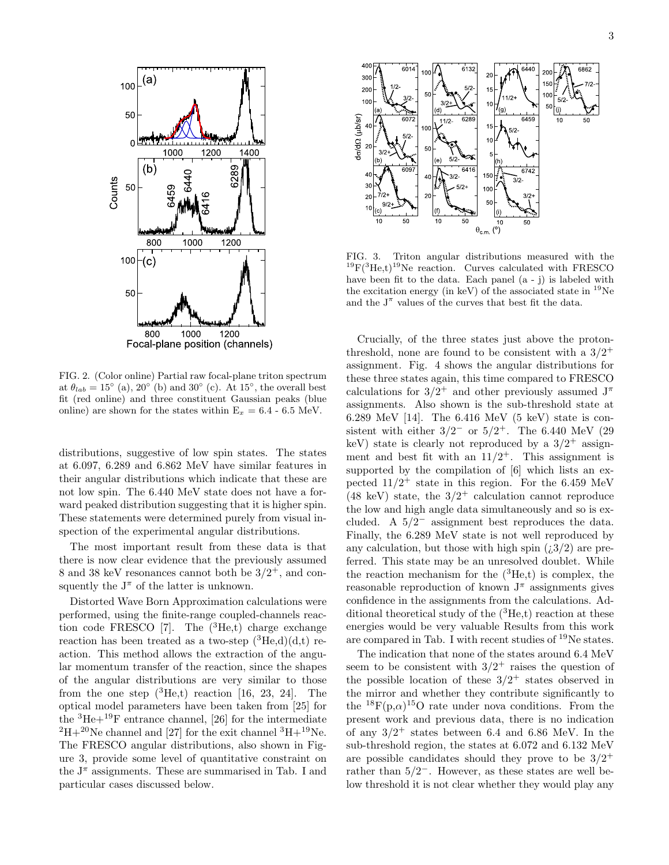

FIG. 2. (Color online) Partial raw focal-plane triton spectrum at  $\theta_{lab} = 15^{\circ}$  (a),  $20^{\circ}$  (b) and  $30^{\circ}$  (c). At  $15^{\circ}$ , the overall best fit (red online) and three constituent Gaussian peaks (blue online) are shown for the states within  $E_x = 6.4 - 6.5$  MeV.

distributions, suggestive of low spin states. The states at 6.097, 6.289 and 6.862 MeV have similar features in their angular distributions which indicate that these are not low spin. The 6.440 MeV state does not have a forward peaked distribution suggesting that it is higher spin. These statements were determined purely from visual inspection of the experimental angular distributions.

The most important result from these data is that there is now clear evidence that the previously assumed 8 and 38 keV resonances cannot both be  $3/2^+$ , and consquently the  $J^{\pi}$  of the latter is unknown.

Distorted Wave Born Approximation calculations were performed, using the finite-range coupled-channels reaction code FRESCO [7]. The  $(^{3}He,t)$  charge exchange reaction has been treated as a two-step  $({}^{3}He,d)(d,t)$  reaction. This method allows the extraction of the angular momentum transfer of the reaction, since the shapes of the angular distributions are very similar to those from the one step  $({}^{3}He,t)$  reaction [16, 23, 24]. The optical model parameters have been taken from [25] for the  ${}^{3}\text{He}+{}^{19}\text{F}$  entrance channel, [26] for the intermediate  $^{2}H+^{20}Ne$  channel and [27] for the exit channel  $^{3}H+^{19}Ne$ . The FRESCO angular distributions, also shown in Figure 3, provide some level of quantitative constraint on the  $J^{\pi}$  assignments. These are summarised in Tab. I and particular cases discussed below.



FIG. 3. Triton angular distributions measured with the  ${}^{19}F({}^{3}He,t){}^{19}Ne$  reaction. Curves calculated with FRESCO have been fit to the data. Each panel  $(a - i)$  is labeled with the excitation energy (in keV) of the associated state in  $^{19}$ Ne and the  $J^{\pi}$  values of the curves that best fit the data.

Crucially, of the three states just above the protonthreshold, none are found to be consistent with a  $3/2^+$ assignment. Fig. 4 shows the angular distributions for these three states again, this time compared to FRESCO calculations for  $3/2^+$  and other previously assumed  $J^{\pi}$ assignments. Also shown is the sub-threshold state at 6.289 MeV [14]. The 6.416 MeV (5 keV) state is consistent with either  $3/2^-$  or  $5/2^+$ . The 6.440 MeV (29 keV) state is clearly not reproduced by a  $3/2^+$  assignment and best fit with an  $11/2^+$ . This assignment is supported by the compilation of [6] which lists an expected  $11/2^+$  state in this region. For the 6.459 MeV  $(48 \text{ keV})$  state, the  $3/2^+$  calculation cannot reproduce the low and high angle data simultaneously and so is excluded. A 5/2<sup>−</sup> assignment best reproduces the data. Finally, the 6.289 MeV state is not well reproduced by any calculation, but those with high spin  $(23/2)$  are preferred. This state may be an unresolved doublet. While the reaction mechanism for the  $({}^{3}He,t)$  is complex, the reasonable reproduction of known  $J^{\pi}$  assignments gives confidence in the assignments from the calculations. Additional theoretical study of the  $({}^{3}He,t)$  reaction at these energies would be very valuable Results from this work are compared in Tab. I with recent studies of <sup>19</sup>Ne states.

The indication that none of the states around 6.4 MeV seem to be consistent with  $3/2^+$  raises the question of the possible location of these  $3/2^+$  states observed in the mirror and whether they contribute significantly to the  $^{18}F(p,\alpha)^{15}O$  rate under nova conditions. From the present work and previous data, there is no indication of any  $3/2^+$  states between 6.4 and 6.86 MeV. In the sub-threshold region, the states at 6.072 and 6.132 MeV are possible candidates should they prove to be  $3/2^+$ rather than 5/2<sup>−</sup>. However, as these states are well below threshold it is not clear whether they would play any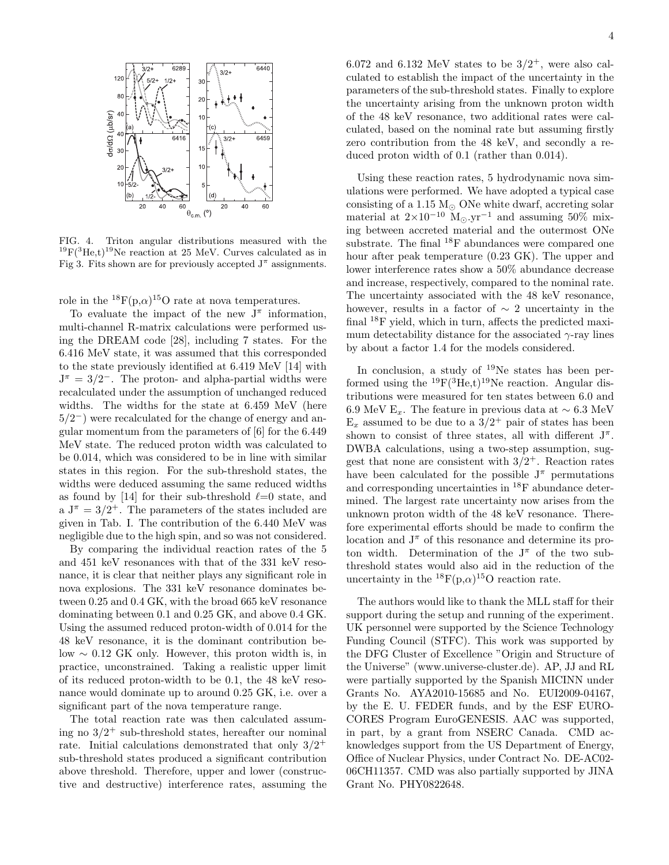

FIG. 4. Triton angular distributions measured with the  $^{19}F(^{3}He,t)^{19}$ Ne reaction at 25 MeV. Curves calculated as in Fig 3. Fits shown are for previously accepted  $J^{\pi}$  assignments.

role in the  $^{18}F(p,\alpha)^{15}O$  rate at nova temperatures.

To evaluate the impact of the new  $J^{\pi}$  information, multi-channel R-matrix calculations were performed using the DREAM code [28], including 7 states. For the 6.416 MeV state, it was assumed that this corresponded to the state previously identified at 6.419 MeV [14] with  $J^{\pi} = 3/2^-$ . The proton- and alpha-partial widths were recalculated under the assumption of unchanged reduced widths. The widths for the state at 6.459 MeV (here 5/2<sup>−</sup>) were recalculated for the change of energy and angular momentum from the parameters of [6] for the 6.449 MeV state. The reduced proton width was calculated to be 0.014, which was considered to be in line with similar states in this region. For the sub-threshold states, the widths were deduced assuming the same reduced widths as found by [14] for their sub-threshold  $\ell=0$  state, and a  $J^{\pi} = 3/2^{+}$ . The parameters of the states included are given in Tab. I. The contribution of the 6.440 MeV was negligible due to the high spin, and so was not considered.

By comparing the individual reaction rates of the 5 and 451 keV resonances with that of the 331 keV resonance, it is clear that neither plays any significant role in nova explosions. The 331 keV resonance dominates between 0.25 and 0.4 GK, with the broad 665 keV resonance dominating between 0.1 and 0.25 GK, and above 0.4 GK. Using the assumed reduced proton-width of 0.014 for the 48 keV resonance, it is the dominant contribution below ∼ 0.12 GK only. However, this proton width is, in practice, unconstrained. Taking a realistic upper limit of its reduced proton-width to be 0.1, the 48 keV resonance would dominate up to around 0.25 GK, i.e. over a significant part of the nova temperature range.

The total reaction rate was then calculated assuming no  $3/2^+$  sub-threshold states, hereafter our nominal rate. Initial calculations demonstrated that only  $3/2^+$ sub-threshold states produced a significant contribution above threshold. Therefore, upper and lower (constructive and destructive) interference rates, assuming the 6.072 and 6.132 MeV states to be  $3/2^+$ , were also calculated to establish the impact of the uncertainty in the parameters of the sub-threshold states. Finally to explore the uncertainty arising from the unknown proton width of the 48 keV resonance, two additional rates were calculated, based on the nominal rate but assuming firstly zero contribution from the 48 keV, and secondly a reduced proton width of 0.1 (rather than 0.014).

Using these reaction rates, 5 hydrodynamic nova simulations were performed. We have adopted a typical case consisting of a 1.15  $M_{\odot}$  ONe white dwarf, accreting solar material at  $2\times10^{-10}$  M<sub>o</sub>.yr<sup>-1</sup> and assuming 50% mixing between accreted material and the outermost ONe substrate. The final  $^{18}$ F abundances were compared one hour after peak temperature (0.23 GK). The upper and lower interference rates show a 50% abundance decrease and increase, respectively, compared to the nominal rate. The uncertainty associated with the 48 keV resonance, however, results in a factor of  $\sim$  2 uncertainty in the final <sup>18</sup>F yield, which in turn, affects the predicted maximum detectability distance for the associated  $\gamma$ -ray lines by about a factor 1.4 for the models considered.

In conclusion, a study of  $19$ Ne states has been performed using the  $^{19}F(^{3}He,t)^{19}Ne$  reaction. Angular distributions were measured for ten states between 6.0 and 6.9 MeV E<sub>x</sub>. The feature in previous data at  $\sim$  6.3 MeV  $E_x$  assumed to be due to a  $3/2^+$  pair of states has been shown to consist of three states, all with different  $J^{\pi}$ . DWBA calculations, using a two-step assumption, suggest that none are consistent with  $3/2^+$ . Reaction rates have been calculated for the possible  $J^{\pi}$  permutations and corresponding uncertainties in <sup>18</sup>F abundance determined. The largest rate uncertainty now arises from the unknown proton width of the 48 keV resonance. Therefore experimental efforts should be made to confirm the location and  $J^{\pi}$  of this resonance and determine its proton width. Determination of the  $J^{\pi}$  of the two subthreshold states would also aid in the reduction of the uncertainty in the  ${}^{18}F(p,\alpha){}^{15}O$  reaction rate.

The authors would like to thank the MLL staff for their support during the setup and running of the experiment. UK personnel were supported by the Science Technology Funding Council (STFC). This work was supported by the DFG Cluster of Excellence "Origin and Structure of the Universe" (www.universe-cluster.de). AP, JJ and RL were partially supported by the Spanish MICINN under Grants No. AYA2010-15685 and No. EUI2009-04167, by the E. U. FEDER funds, and by the ESF EURO-CORES Program EuroGENESIS. AAC was supported, in part, by a grant from NSERC Canada. CMD acknowledges support from the US Department of Energy, Office of Nuclear Physics, under Contract No. DE-AC02- 06CH11357. CMD was also partially supported by JINA Grant No. PHY0822648.